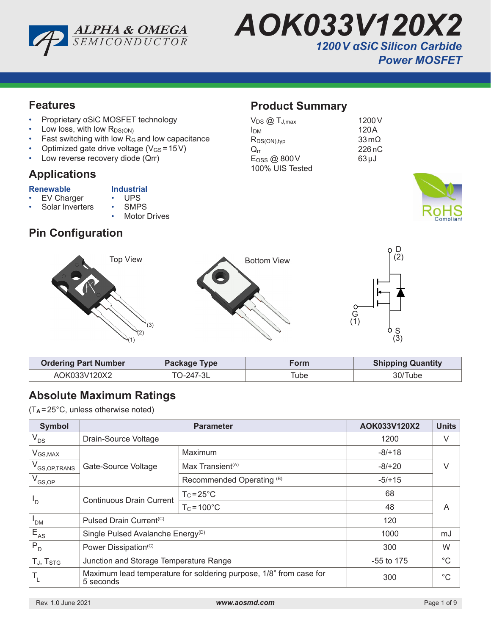



#### **Features**

- Proprietary αSiC MOSFET technology
- Low loss, with low  $R_{DS(ON)}$
- Fast switching with low  $R_G$  and low capacitance
- Optimized gate drive voltage  $(V_{GS} = 15V)$
- Low reverse recovery diode (Qrr)

#### **Applications**

- **Renewable Industrial**<br>• EV Charger UPS EV Charger • UPS<br>Solar Inverters • SMPS
	- Solar Inverters
		- **Motor Drives**

# **Pin Configuration**

## **Product Summary**

| $V_{DS}$ $@$ $T_{J,max}$ | 1200 V                  |
|--------------------------|-------------------------|
| Ірм                      | 120A                    |
| $R_{DS(ON),typ}$         | $33 \,\mathrm{m}\Omega$ |
| $\rm{O}$ rr              | 226nC                   |
| E <sub>OSS</sub> @ 800V  | $63 \mu J$              |
| 100% UIS Tested          |                         |





| <b>Ordering Part Number</b> | Package Type | orm  | <b>Shipping Quantity</b> |
|-----------------------------|--------------|------|--------------------------|
| AOK033V120X2                | TO-247-3L    | Гube | 30/Tube                  |

# **Absolute Maximum Ratings**

(T**<sup>A</sup>** =25°C, unless otherwise noted)

| <b>Symbol</b>            | <b>Parameter</b>                                                                |                              | AOK033V120X2 | <b>Units</b> |
|--------------------------|---------------------------------------------------------------------------------|------------------------------|--------------|--------------|
| $V_{DS}$                 | Drain-Source Voltage                                                            |                              | 1200         | V            |
| $V_{GS,MAX}$             |                                                                                 | Maximum                      | $-8/118$     |              |
| V <sub>GS,OP,TRANS</sub> | Gate-Source Voltage                                                             | Max Transient <sup>(A)</sup> | $-8/+20$     |              |
| $V_{GS,OP}$              |                                                                                 | Recommended Operating (B)    | $-5/+15$     |              |
|                          | <b>Continuous Drain Current</b><br>'D                                           | $T_c = 25^{\circ}C$          | 68           |              |
|                          |                                                                                 | $T_c = 100^{\circ}C$         | 48           | A            |
| 'DM                      | Pulsed Drain Current <sup>(C)</sup>                                             |                              | 120          |              |
| $E_{AS}$                 | Single Pulsed Avalanche Energy <sup>(D)</sup>                                   |                              | 1000         | mJ           |
| $P_{D}$                  | Power Dissipation <sup>(C)</sup>                                                |                              | 300          | W            |
| TJ, T <sub>STG</sub>     | Junction and Storage Temperature Range                                          |                              | $-55$ to 175 | $^{\circ}C$  |
|                          | Maximum lead temperature for soldering purpose, 1/8" from case for<br>5 seconds |                              | 300          | $^{\circ}C$  |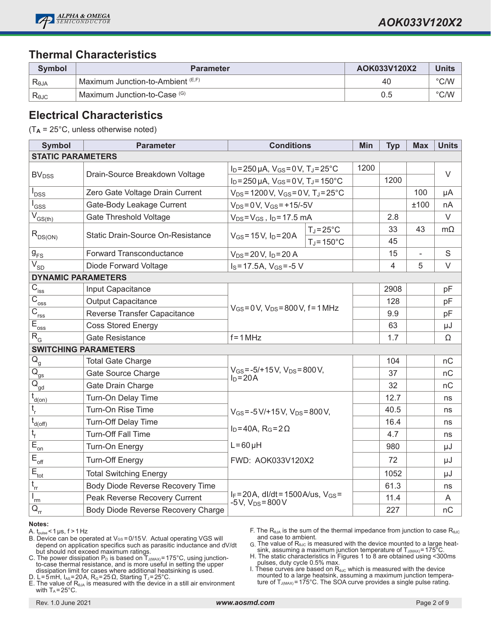

### **Thermal Characteristics**

| Symbol         | <b>Parameter</b>                  | AOK033V120X2 | <b>Units</b>  |
|----------------|-----------------------------------|--------------|---------------|
| Reja           | Maximum Junction-to-Ambient (E,F) | 40           | $\degree$ C/W |
| $R_{\theta$ JC | Maximum Junction-to-Case (G)      | 0.5          | $\degree$ C/W |

#### **Electrical Characteristics**

(T**A** = 25°C, unless otherwise noted)

| <b>Symbol</b>                                    | <b>Parameter</b>                   | <b>Conditions</b>                                                     |                      | Min  | <b>Typ</b>     | <b>Max</b> | <b>Units</b> |
|--------------------------------------------------|------------------------------------|-----------------------------------------------------------------------|----------------------|------|----------------|------------|--------------|
| <b>STATIC PARAMETERS</b>                         |                                    |                                                                       |                      |      |                |            |              |
|                                                  |                                    | $I_D = 250 \,\mu A$ , $V_{GS} = 0 V$ , $T_J = 25^{\circ}C$            |                      | 1200 |                |            | $\vee$       |
| <b>BV<sub>DSS</sub></b>                          | Drain-Source Breakdown Voltage     | $I_D = 250 \mu A$ , $V_{GS} = 0 V$ , $T_J = 150^{\circ}C$             |                      |      | 1200           |            |              |
| <b>DSS</b>                                       | Zero Gate Voltage Drain Current    | $V_{DS}$ = 1200 V, $V_{GS}$ = 0 V, T <sub>J</sub> = 25 $^{\circ}$ C   |                      |      |                | 100        | μA           |
| l <sub>GSS</sub>                                 | Gate-Body Leakage Current          | $V_{DS} = 0 V$ , $V_{GS} = +15/-5V$                                   |                      |      |                | ±100       | nA           |
| $\overline{V}_{GS(th)}$                          | <b>Gate Threshold Voltage</b>      | $V_{DS} = V_{GS}$ , $I_D = 17.5$ mA                                   |                      |      | 2.8            |            | $\vee$       |
| $R_{DS(ON)}$                                     | Static Drain-Source On-Resistance  | $V_{GS} = 15 V$ , $I_D = 20 A$                                        | $T_J = 25^{\circ}C$  |      | 33             | 43         | $m\Omega$    |
|                                                  |                                    |                                                                       | $T_J = 150^{\circ}C$ |      | 45             |            |              |
| $g_{FS}$                                         | Forward Transconductance           | $V_{DS} = 20 V$ , $I_D = 20 A$                                        |                      |      | 15             | ÷,         | $\mathbf S$  |
| $\overline{V_{SD}}$                              | Diode Forward Voltage              | $I_S = 17.5A$ , $V_{GS} = -5V$                                        |                      |      | $\overline{4}$ | 5          | $\vee$       |
| <b>DYNAMIC PARAMETERS</b>                        |                                    |                                                                       |                      |      |                |            |              |
| $C_{\rm iss}$                                    | Input Capacitance                  |                                                                       |                      |      | 2908           |            | pF           |
| $\overline{C}_{\underline{oss}}$                 | <b>Output Capacitance</b>          | $V_{GS} = 0 V$ , $V_{DS} = 800 V$ , $f = 1 MHz$<br>$f = 1 MHz$        |                      |      | 128            |            | pF           |
| $\overline{C}_{\underline{rss}}$                 | Reverse Transfer Capacitance       |                                                                       |                      |      | 9.9            |            | pF           |
| $E_{\underline{\text{oss}}}$                     | <b>Coss Stored Energy</b>          |                                                                       |                      |      | 63             |            | μJ           |
| $R_{\rm G}$                                      | <b>Gate Resistance</b>             |                                                                       |                      |      | 1.7            |            | Ω            |
| <b>SWITCHING PARAMETERS</b>                      |                                    |                                                                       |                      |      |                |            |              |
| $\overline{Q}_{\underline{g}}$                   | <b>Total Gate Charge</b>           |                                                                       |                      |      | 104            |            | nC           |
| $\overline{\mathsf{Q}}_{\mathsf{gs}}$            | Gate Source Charge                 | $V_{GS} = -5/+15 V$ , $V_{DS} = 800 V$ ,<br>$I_D = 20A$               |                      |      | 37             |            | nC           |
| $\overline{Q}_{\underline{gd}}$                  | Gate Drain Charge                  |                                                                       |                      |      | 32             |            | nC           |
| $t_{d(on)}$                                      | Turn-On Delay Time                 |                                                                       |                      |      | 12.7           |            | ns           |
| $\mathfrak{t}_{\sf r}$                           | Turn-On Rise Time                  | $V_{GS} = -5 V/ + 15 V$ , $V_{DS} = 800 V$ ,                          |                      |      | 40.5           |            | ns           |
| $t_{d(off)}$                                     | <b>Turn-Off Delay Time</b>         |                                                                       |                      |      | 16.4           |            | ns           |
| $t_f$                                            | <b>Turn-Off Fall Time</b>          | $I_D = 40A$ , $R_G = 2\Omega$                                         |                      |      | 4.7            |            | ns           |
| $\overline{E}_{\underline{on}}$                  | Turn-On Energy                     | $L = 60 \mu H$                                                        |                      |      | 980            |            | μJ           |
| $E_{\text{off}}$                                 | <b>Turn-Off Energy</b>             | FWD: AOK033V120X2                                                     |                      |      | 72             |            | μJ           |
| $E_{\underline{\underline{\mathrm{tot}}}}$       | <b>Total Switching Energy</b>      |                                                                       |                      |      | 1052           |            | μJ           |
| $t_{rr}$                                         | Body Diode Reverse Recovery Time   |                                                                       |                      |      | 61.3           |            | ns           |
| 'rm                                              | Peak Reverse Recovery Current      | $I_F = 20A$ , dl/dt = 1500A/us, $V_{GS} =$<br>$-5V$ , $V_{DS} = 800V$ |                      |      | 11.4           |            | A            |
| $\overline{\mathsf{Q}}_{\underline{\mathsf{r}}}$ | Body Diode Reverse Recovery Charge |                                                                       |                      |      | 227            |            | nC           |

#### **Notes:**

A.  $t_{pulse}$  < 1 µs,  $f > 1$  Hz

B. Device can be operated at Vos = 0/15V. Actual operating VGS will depend on application specifics such as parasitic inductance and dV/dt but should not exceed maximum ratings.

C. The power dissipation  $\mathsf{P}_\mathsf{D}$  is based on  $\mathsf{T}_\mathsf{J(MAX)}$ =175°C, using junctionto-case thermal resistance, and is more useful in setting the upper dissipation limit for cases where additional heatsinking is used.

D. L=5mH, I<sub>AS</sub>=20A, R<sub>G</sub>=25 Ω, Starting T<sub>J</sub>=25°C.

E. The value of  $R<sub>θJA</sub>$  is measured with the device in a still air environment with  $T_A = 25^{\circ}$ C.

F. The R<sub>θJA</sub> is the sum of the thermal impedance from junction to case R<sub>θJC</sub> and case to ambient.

 $G$ . The value of R<sub>θJC</sub> is measured with the device mounted to a large heat-<br>sink, assuming a maximum junction temperature of Tآررامین = 175°C.

H. The static characteristics in Figures 1 to 8 are obtained using <300ms pulses, duty cycle 0.5% max.

I. These curves are based on R<sub>θJC</sub> which is measured with the device<br>mounted to a large heatsink, assuming a maximum junction temperature of  $T_{J(MAX)} = 175^{\circ}$ C. The SOA curve provides a single pulse rating.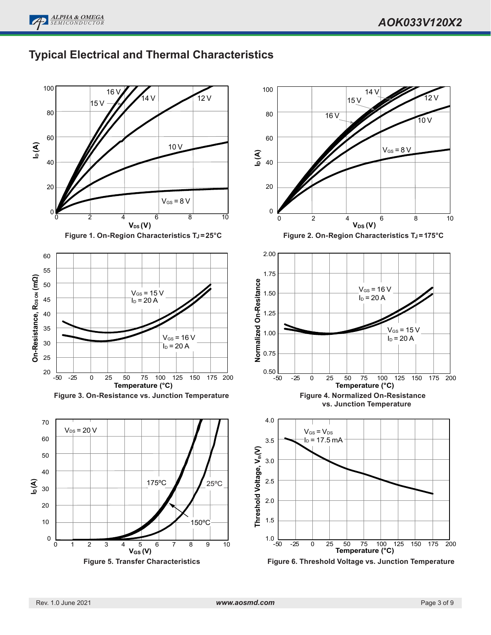

# **Typical Electrical and Thermal Characteristics**

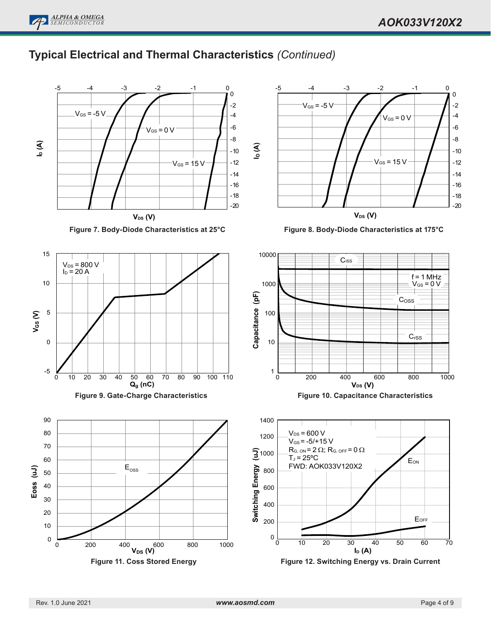

# **Typical Electrical and Thermal Characteristics** *(Continued)*

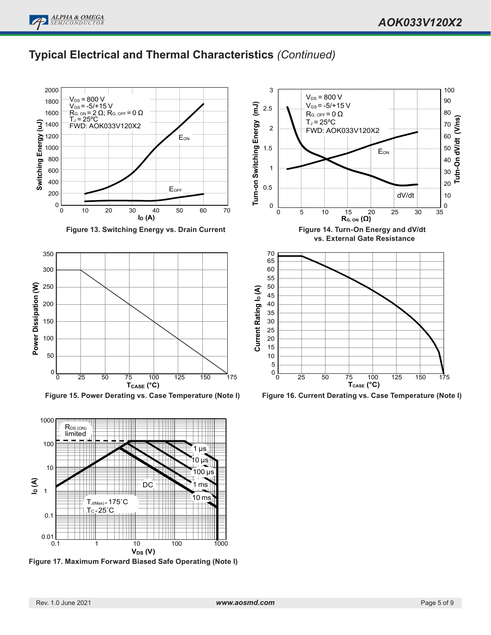100



## **Typical Electrical and Thermal Characteristics** *(Continued)*

3



**Figure 13. Switching Energy vs. Drain Current**



**Figure 15. Power Derating vs. Case Temperature (Note I)**



**Figure 17. Maximum Forward Biased Safe Operating (Note I)**



**Figure 16. Current Derating vs. Case Temperature (Note I)**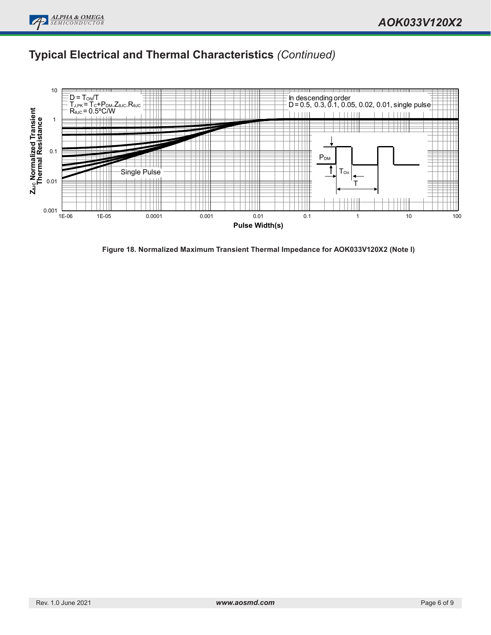# **Typical Electrical and Thermal Characteristics** *(Continued)*



**Figure 18. Normalized Maximum Transient Thermal Impedance for AOK033V120X2 (Note I)**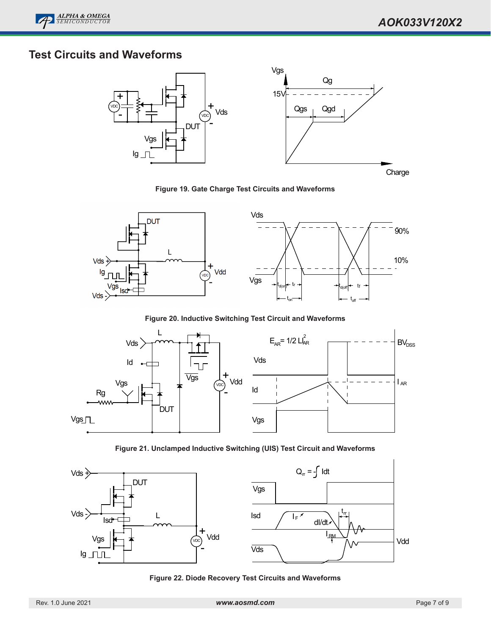

# **Test Circuits and Waveforms**



**Figure 19. Gate Charge Test Circuits and Waveforms**



**Figure 20. Inductive Switching Test Circuit and Waveforms**



**Figure 21. Unclamped Inductive Switching (UIS) Test Circuit and Waveforms**



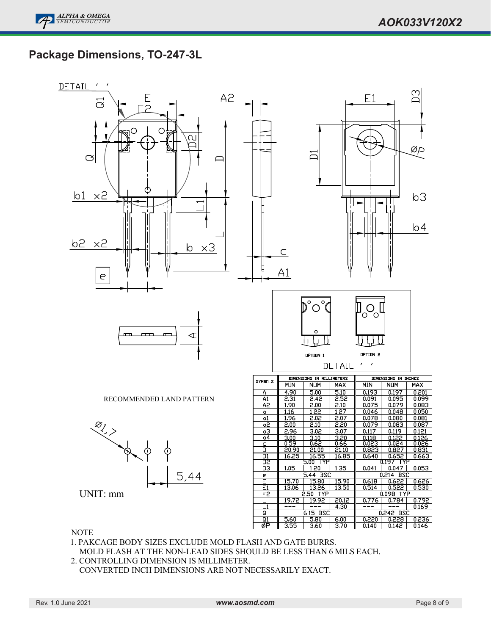## **Package Dimensions, TO-247-3L**



#### **NOTE**

- 1. PAKCAGE BODY SIZES EXCLUDE MOLD FLASH AND GATE BURRS. MOLD FLASH AT THE NON-LEAD SIDES SHOULD BE LESS THAN 6 MILS EACH.
- 2. CONTROLLING DIMENSION IS MILLIMETER. CONVERTED INCH DIMENSIONS ARE NOT NECESSARILY EXACT.